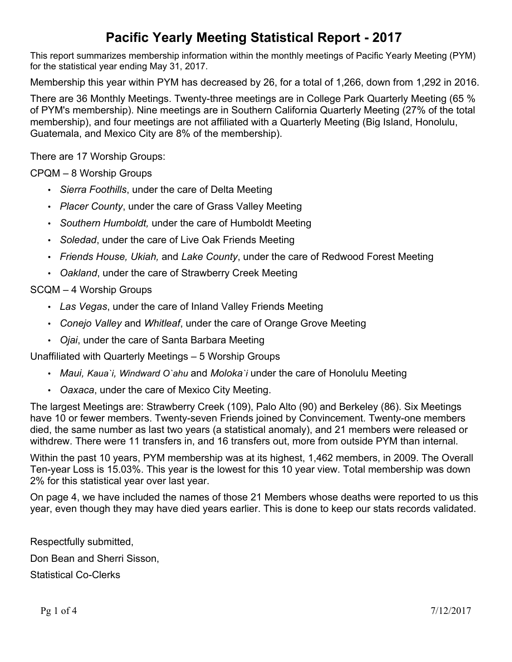## **Pacific Yearly Meeting Statistical Report - 2017**

This report summarizes membership information within the monthly meetings of Pacific Yearly Meeting (PYM) for the statistical year ending May 31, 2017.

Membership this year within PYM has decreased by 26, for a total of 1,266, down from 1,292 in 2016.

There are 36 Monthly Meetings. Twenty-three meetings are in College Park Quarterly Meeting (65 % of PYM's membership). Nine meetings are in Southern California Quarterly Meeting (27% of the total membership), and four meetings are not affiliated with a Quarterly Meeting (Big Island, Honolulu, Guatemala, and Mexico City are 8% of the membership).

There are 17 Worship Groups:

CPQM – 8 Worship Groups

- *Sierra Foothills*, under the care of Delta Meeting
- *Placer County*, under the care of Grass Valley Meeting
- *Southern Humboldt,* under the care of Humboldt Meeting
- *Soledad*, under the care of Live Oak Friends Meeting
- *Friends House, Ukiah,* and *Lake County*, under the care of Redwood Forest Meeting
- *Oakland*, under the care of Strawberry Creek Meeting

#### SCQM – 4 Worship Groups

- *Las Vegas*, under the care of Inland Valley Friends Meeting
- *Conejo Valley* and *Whitleaf*, under the care of Orange Grove Meeting
- *Ojai*, under the care of Santa Barbara Meeting

Unaffiliated with Quarterly Meetings – 5 Worship Groups

- *Maui, Kaua`i, Windward O`ahu* and *Moloka`i* under the care of Honolulu Meeting
- *Oaxaca*, under the care of Mexico City Meeting.

The largest Meetings are: Strawberry Creek (109), Palo Alto (90) and Berkeley (86). Six Meetings have 10 or fewer members. Twenty-seven Friends joined by Convincement. Twenty-one members died, the same number as last two years (a statistical anomaly), and 21 members were released or withdrew. There were 11 transfers in, and 16 transfers out, more from outside PYM than internal.

Within the past 10 years, PYM membership was at its highest, 1,462 members, in 2009. The Overall Ten-year Loss is 15.03%. This year is the lowest for this 10 year view. Total membership was down 2% for this statistical year over last year.

On page 4, we have included the names of those 21 Members whose deaths were reported to us this year, even though they may have died years earlier. This is done to keep our stats records validated.

Respectfully submitted, Don Bean and Sherri Sisson, Statistical Co-Clerks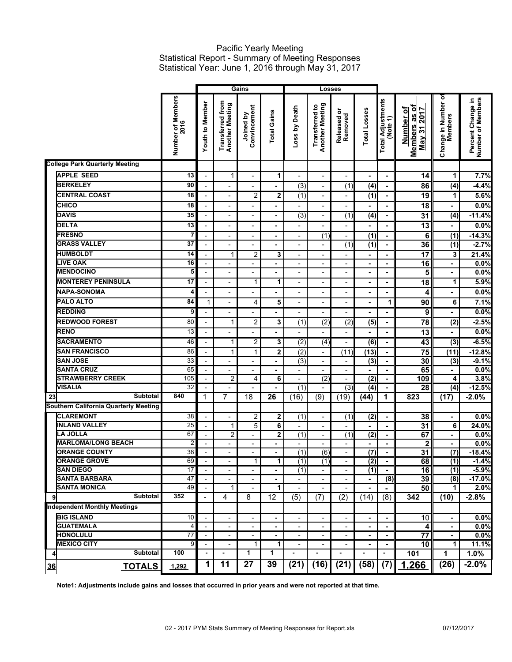#### Pacific Yearly Meeting Statistical Report - Summary of Meeting Responses Statistical Year: June 1, 2016 through May 31, 2017

|                                       |                           | Gains                                     |                                            |                           | Losses               |                                            |                                          |                                 |                  |                                      |                                                         |                                       |                                        |
|---------------------------------------|---------------------------|-------------------------------------------|--------------------------------------------|---------------------------|----------------------|--------------------------------------------|------------------------------------------|---------------------------------|------------------|--------------------------------------|---------------------------------------------------------|---------------------------------------|----------------------------------------|
|                                       | Number of Members<br>2016 | <b>Youth to Member</b>                    | <b>Transferred from</b><br>Another Meeting | Convincement<br>Joined by | <b>Total Gains</b>   | Loss by Death                              | <b>Transferred to</b><br>Another Meeting | ৯<br>Released o<br>Removed      | Total Losses     | <b>Total Adjustments</b><br>(Note 1) | Members as of<br>Number of<br>2017<br>May <sub>31</sub> | Change in Number of<br><b>Members</b> | Percent Change in<br>Number of Members |
| <b>College Park Quarterly Meeting</b> |                           |                                           |                                            |                           |                      |                                            |                                          |                                 |                  |                                      |                                                         |                                       |                                        |
| <b>APPLE SEED</b>                     | 13                        | $\overline{a}$                            | $\mathbf{1}$                               |                           | 1                    |                                            | $\overline{a}$                           | $\overline{\phantom{a}}$        | ä,               | $\blacksquare$                       | 14                                                      | 1                                     | 7.7%                                   |
| <b>BERKELEY</b>                       | 90                        | $\overline{a}$                            | $\overline{a}$                             |                           |                      | (3)                                        | $\overline{a}$                           | (1)                             | (4)              | $\blacksquare$                       | 86                                                      | (4)                                   | $-4.4%$                                |
| <b>CENTRAL COAST</b>                  | 18                        | $\overline{a}$                            | $\overline{a}$                             | $\overline{c}$            | 2                    | (1)                                        | $\overline{a}$                           | $\overline{\phantom{a}}$        | (1)              | ä,                                   | $\overline{19}$                                         | 1                                     | 5.6%                                   |
| CHICO                                 | 18                        | $\overline{a}$                            | ۰                                          |                           |                      |                                            | $\overline{a}$                           | $\overline{\phantom{a}}$        |                  | ä,                                   | $\overline{18}$                                         | ٠                                     | 0.0%                                   |
| <b>DAVIS</b>                          | 35                        | $\overline{\phantom{0}}$                  | $\overline{\phantom{0}}$                   |                           | ٠                    | (3)                                        | $\overline{a}$                           | (1)                             | (4)              | $\blacksquare$                       | $\overline{31}$                                         | (4)                                   | $-11.4%$                               |
| <b>DELTA</b>                          | 13                        | $\blacksquare$                            | $\overline{a}$                             |                           | ٠                    |                                            | $\overline{a}$                           | $\frac{1}{2}$                   | ä,               | ä,                                   | $\overline{13}$                                         | $\blacksquare$                        | 0.0%                                   |
| <b>FRESNO</b>                         | 7                         |                                           |                                            |                           |                      |                                            |                                          |                                 | $\overline{(1)}$ |                                      |                                                         |                                       |                                        |
| <b>GRASS VALLEY</b>                   | 37                        | $\overline{\phantom{a}}$<br>$\frac{1}{2}$ | $\overline{\phantom{a}}$<br>$\overline{a}$ | $\overline{\phantom{a}}$  | $\blacksquare$<br>ä, | $\overline{\phantom{a}}$<br>$\overline{a}$ | (1)<br>$\overline{a}$                    | $\overline{\phantom{a}}$<br>(1) | $\overline{(1)}$ | $\blacksquare$<br>$\blacksquare$     | 6<br>36                                                 | $\overline{(1)}$<br>(1)               | $-14.3%$<br>$-2.7%$                    |
|                                       |                           |                                           |                                            |                           |                      |                                            |                                          |                                 |                  |                                      |                                                         |                                       |                                        |
| <b>HUMBOLDT</b>                       | 14                        |                                           | $\mathbf{1}$                               | $\overline{2}$            | 3                    | $\overline{\phantom{a}}$                   | $\overline{a}$                           | $\overline{\phantom{a}}$        | $\blacksquare$   | $\blacksquare$                       | $\overline{17}$                                         | 3                                     | 21.4%                                  |
| <b>LIVE OAK</b>                       | 16                        | $\overline{\phantom{a}}$                  | $\overline{\phantom{0}}$                   | $\overline{\phantom{a}}$  | ٠                    | $\overline{\phantom{a}}$                   | $\overline{\phantom{a}}$                 | $\overline{\phantom{a}}$        | ٠                | $\blacksquare$                       | 16                                                      | $\blacksquare$                        | 0.0%                                   |
| <b>MENDOCINO</b>                      | 5                         | $\overline{\phantom{a}}$                  | $\overline{a}$                             |                           | ٠                    | $\overline{\phantom{a}}$                   | $\overline{\phantom{0}}$                 | $\overline{\phantom{a}}$        |                  | $\blacksquare$                       | 5                                                       | ٠                                     | 0.0%                                   |
| <b>MONTEREY PENINSULA</b>             | 17                        | $\overline{\phantom{a}}$                  | $\overline{a}$                             | $\mathbf{1}$              | 1                    | $\overline{\phantom{a}}$                   | $\overline{\phantom{0}}$                 | $\overline{\phantom{a}}$        | ä,               | $\blacksquare$                       | 18                                                      | 1                                     | 5.9%                                   |
| <b>NAPA-SONOMA</b>                    | 4                         | $\overline{\phantom{a}}$                  | $\overline{a}$                             |                           |                      | $\overline{\phantom{a}}$                   | $\qquad \qquad \blacksquare$             | $\qquad \qquad \blacksquare$    | -                | $\blacksquare$                       | 4                                                       | ٠                                     | 0.0%                                   |
| <b>PALO ALTO</b>                      | 84                        | $\mathbf{1}$                              | $\overline{a}$                             | 4                         | 5                    | $\overline{\phantom{0}}$                   | $\qquad \qquad \blacksquare$             | $\overline{\phantom{a}}$        |                  | 1                                    | 90                                                      | 6                                     | 7.1%                                   |
| <b>REDDING</b>                        | 9                         | $\overline{\phantom{a}}$                  |                                            |                           | ٠                    | $\overline{a}$                             | $\overline{a}$                           |                                 | ä,               | $\blacksquare$                       | 9                                                       | $\blacksquare$                        | 0.0%                                   |
| <b>REDWOOD FOREST</b>                 | 80                        | $\overline{\phantom{a}}$                  | $\mathbf{1}$                               | $\overline{2}$            | 3                    | (1)                                        | $\overline{2}$                           | $\overline{(2)}$                | $\overline{(5)}$ | $\blacksquare$                       | $\overline{78}$                                         | $\overline{(2)}$                      | $-2.5%$                                |
| <b>RENO</b>                           | 13                        | $\overline{\phantom{a}}$                  |                                            |                           |                      |                                            |                                          |                                 | ä,               | $\blacksquare$                       | $\overline{13}$                                         | ٠                                     | 0.0%                                   |
| <b>SACRAMENTO</b>                     | 46                        | $\overline{\phantom{a}}$                  | $\mathbf{1}$                               | $\overline{2}$            | 3                    | $\overline{(2)}$                           | $\overline{(4)}$                         | $\overline{\phantom{a}}$        | $\overline{(6)}$ | $\blacksquare$                       | $\overline{43}$                                         | $\overline{(3)}$                      | $-6.5%$                                |
| <b>SAN FRANCISCO</b>                  | 86                        | $\overline{\phantom{a}}$                  | $\mathbf{1}$                               | $\mathbf{1}$              | $\mathbf 2$          | $\overline{(2)}$                           | $\overline{\phantom{0}}$                 | (11)                            | (13)             | $\blacksquare$                       | $\overline{75}$                                         | (11)                                  | $-12.8%$                               |
| <b>SAN JOSE</b>                       | 33                        |                                           | $\overline{\phantom{0}}$                   |                           | ۰                    | (3)                                        | $\overline{a}$                           | $\overline{\phantom{a}}$        | (3)              | $\blacksquare$                       | 30                                                      | $\overline{(3)}$                      | $-9.1%$                                |
| <b>SANTA CRUZ</b>                     | 65                        |                                           |                                            |                           |                      |                                            | $\overline{a}$                           | $\overline{\phantom{a}}$        |                  | ä,                                   | 65                                                      |                                       | 0.0%                                   |
| <b>STRAWBERRY CREEK</b>               | 105                       | $\overline{\phantom{a}}$                  | $\overline{2}$                             | 4                         | 6                    | $\overline{\phantom{a}}$                   | (2)                                      | $\overline{\phantom{a}}$        | (2)              | $\blacksquare$                       | 109                                                     | 4                                     | 3.8%                                   |
| <b>VISALIA</b>                        | 32                        |                                           | $\overline{\phantom{0}}$                   |                           |                      | (1)                                        |                                          | (3)                             | (4)              | $\blacksquare$                       | 28                                                      | (4)                                   | $-12.5%$                               |
| <b>Subtotal</b><br>23                 | 840                       | 1                                         | $\overline{7}$                             | 18                        | 26                   | (16)                                       | (9)                                      | (19)                            | (44)             | 1                                    | 823                                                     | (17)                                  | $-2.0%$                                |
| Southern California Quarterly Meeting |                           |                                           |                                            |                           |                      |                                            |                                          |                                 |                  |                                      |                                                         |                                       |                                        |
| <b>CLAREMONT</b>                      | 38                        | $\overline{\phantom{a}}$                  | $\overline{\phantom{0}}$                   | $\overline{\mathbf{c}}$   | 2                    | (1)                                        | $\overline{\phantom{a}}$                 | (1)                             | (2)              | $\blacksquare$                       | 38                                                      | ٠                                     | 0.0%                                   |
| <b>INLAND VALLEY</b>                  | 25                        |                                           | 1                                          | 5                         | 6                    |                                            |                                          |                                 |                  |                                      | 31                                                      | 6                                     | 24.0%                                  |
| <b>LA JOLLA</b>                       | 67                        | $\overline{\phantom{a}}$                  | $\overline{c}$                             | $\overline{\phantom{a}}$  | 2                    | (1)                                        | $\overline{\phantom{a}}$                 | $\overline{(1)}$                | $\overline{(2)}$ | $\blacksquare$                       | 67                                                      | ٠                                     | 0.0%                                   |
| <b>MARLOMA/LONG BEACH</b>             | $\overline{c}$            | $\overline{\phantom{0}}$                  | $\overline{\phantom{0}}$                   | $\overline{\phantom{a}}$  | ۰                    | $\overline{\phantom{a}}$                   | $\overline{a}$                           | $\qquad \qquad \blacksquare$    | -                | $\blacksquare$                       | 2                                                       | $\blacksquare$                        | $0.0\%$                                |
| <b>ORANGE COUNTY</b>                  | $\overline{38}$           | $\overline{\phantom{a}}$                  | $\overline{\phantom{0}}$                   | $\overline{\phantom{a}}$  | ٠                    | $\overline{(1)}$                           | (6)                                      | $\overline{\phantom{a}}$        | $\overline{(7)}$ | $\blacksquare$                       | 31                                                      | (7)                                   | $-18.4%$                               |
| <b>ORANGE GROVE</b>                   | 69                        |                                           | -                                          | $\mathbf{1}$              | 1                    | (1)                                        | (1)                                      | $\overline{\phantom{a}}$        | (2)              |                                      | 68                                                      | (1)                                   | $-1.4%$                                |
| <b>SAN DIEGO</b>                      | 17                        | $\overline{\phantom{a}}$                  |                                            |                           |                      | (1)                                        |                                          | $\overline{\phantom{a}}$        | (1)              | $\blacksquare$                       | 16                                                      | (1)                                   | $-5.9%$                                |
| <b>SANTA BARBARA</b>                  | 47                        | $\overline{\phantom{a}}$                  | $\overline{\phantom{a}}$                   |                           |                      |                                            | $\overline{\phantom{a}}$                 | $\overline{\phantom{a}}$        | $\blacksquare$   | (8)                                  | 39                                                      | (8)                                   | $-17.0%$                               |
| <b>SANTA MONICA</b>                   | 49                        |                                           | $\mathbf{1}$                               |                           | 1                    |                                            | $\overline{a}$                           |                                 | ä,               |                                      | 50                                                      | 1                                     | 2.0%                                   |
| Subtotal<br>9l                        | 352                       | $\blacksquare$                            | 4                                          | 8                         | 12                   | (5)                                        | (7)                                      | (2)                             | (14)             | (8)                                  | 342                                                     | (10)                                  | $-2.8%$                                |
| <b>Independent Monthly Meetings</b>   |                           |                                           |                                            |                           |                      |                                            |                                          |                                 |                  |                                      |                                                         |                                       |                                        |
| <b>BIG ISLAND</b>                     | 10                        | $\overline{\phantom{a}}$                  |                                            |                           |                      |                                            | $\overline{a}$                           | $\overline{\phantom{a}}$        | ٠                | $\blacksquare$                       | 10                                                      |                                       | 0.0%                                   |
| <b>GUATEMALA</b>                      | 4                         |                                           |                                            |                           |                      |                                            | $\overline{\phantom{a}}$                 | $\overline{\phantom{a}}$        | $\blacksquare$   |                                      | 4                                                       |                                       | 0.0%                                   |
| <b>HONOLULU</b>                       | $\overline{77}$           |                                           |                                            |                           |                      |                                            |                                          | $\overline{\phantom{a}}$        |                  |                                      | $\overline{77}$                                         |                                       | 0.0%                                   |
| <b>MEXICO CITY</b>                    | 9                         | $\overline{\phantom{a}}$                  | $\overline{\phantom{a}}$                   | $\mathbf{1}$              | 1                    | $\overline{\phantom{a}}$                   | $\overline{\phantom{a}}$                 | $\overline{\phantom{a}}$        | ٠                | $\blacksquare$                       | 10                                                      | 1                                     | 11.1%                                  |
| Subtotal<br>4                         | 100                       | $\overline{\phantom{a}}$                  | $\blacksquare$                             | 1                         | 1                    |                                            |                                          |                                 |                  |                                      | 101                                                     | 1                                     | $1.0\%$                                |
| <b>TOTALS</b><br>36                   | 1,292                     | $\mathbf 1$                               | 11                                         | 27                        | 39                   | (21)                                       | (16)                                     | (21)                            | (58)             | (7)                                  | 1,266                                                   | (26)                                  | $-2.0%$                                |

**Note1: Adjustments include gains and losses that occurred in prior years and were not reported at that time.**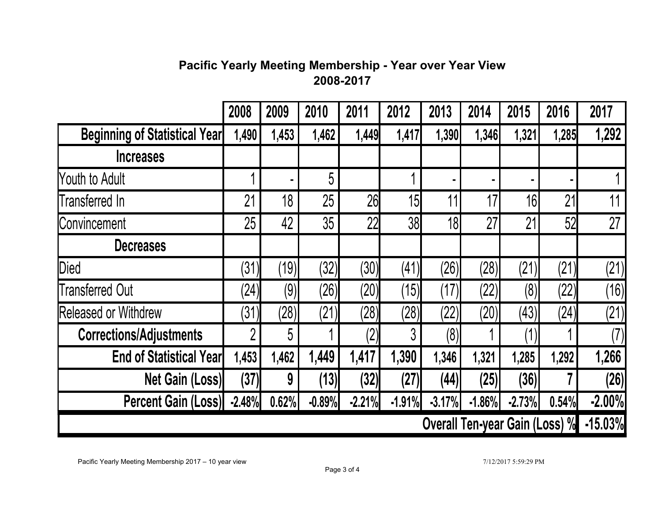# **Pacific Yearly Meeting Membership - Year over Year View 2008-2017**

|                                      | 2008     | 2009  | 2010     | 2011     | 2012            | 2013     | 2014     | 2015                                  | 2016  | 2017      |
|--------------------------------------|----------|-------|----------|----------|-----------------|----------|----------|---------------------------------------|-------|-----------|
| <b>Beginning of Statistical Year</b> | 1,490    | 1,453 | 1,462    | 1,449    | 1,417           | 1,390    | 1,346    | 1,321                                 | 1,285 | 1,292     |
| <b>Increases</b>                     |          |       |          |          |                 |          |          |                                       |       |           |
| Youth to Adult                       |          |       | 5        |          |                 |          |          |                                       |       |           |
| Transferred In                       | 21       | 18    | 25       | 26       | 15              | 11       | 17       | 16                                    | 21    | 11        |
| Convincement                         | 25       | 42    | 35       | 22       | 38              | 18       | 27       | 21                                    | 52    | 27        |
| <b>Decreases</b>                     |          |       |          |          |                 |          |          |                                       |       |           |
| Died                                 | (31)     | (19)  | (32)     | (30)     | (41)            | (26)     | (28)     | (21)                                  | (21)  | (21)      |
| <b>Transferred Out</b>               | (24)     | (9)   | (26)     | (20)     | $^{\prime}$ 15) | (17)     | (22)     | (8)                                   | (22)  | (16)      |
| <b>Released or Withdrew</b>          | (31)     | (28)  | (21)     | (28)     | (28)            | (22)     | (20)     | (43)                                  | (24)  | (21)      |
| <b>Corrections/Adjustments</b>       | റ        | 5     |          | (2)      | 3               | (8)      |          | ′1)                                   |       | (7)       |
| <b>End of Statistical Yearl</b>      | 1,453    | 1,462 | 1,449    | 1,417    | 1,390           | 1,346    | 1,321    | 1,285                                 | 1,292 | 1,266     |
| <b>Net Gain (Loss)</b>               | (37)     | 9     | (13)     | (32)     | (27)            | (44)     | (25)     | (36)                                  |       | (26)      |
| <b>Percent Gain (Loss)</b>           | $-2.48%$ | 0.62% | $-0.89%$ | $-2.21%$ | $-1.91%$        | $-3.17%$ | $-1.86%$ | $-2.73%$                              | 0.54% | $-2.00%$  |
|                                      |          |       |          |          |                 |          |          | <b>Overall Ten-year Gain (Loss) %</b> |       | $-15.03%$ |